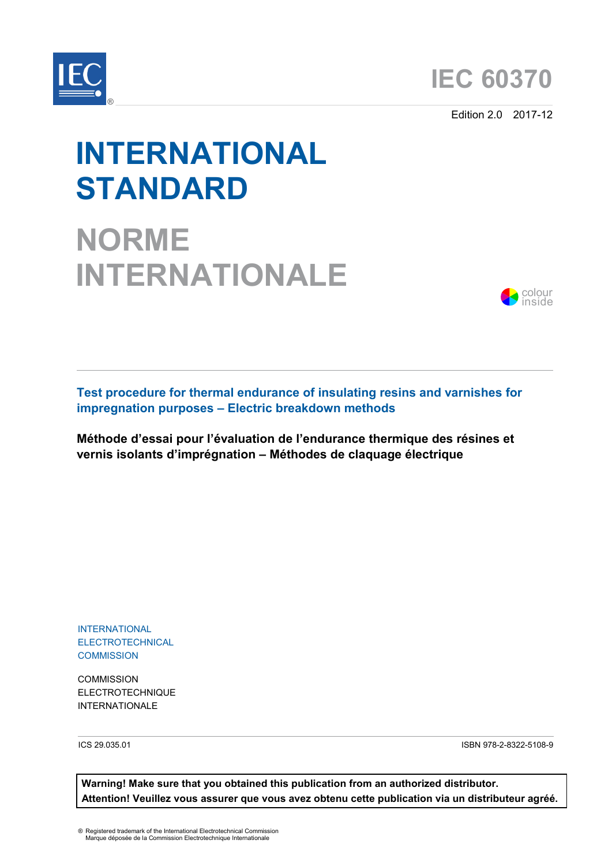



Edition 2.0 2017-12

# **INTERNATIONAL STANDARD**

# **NORME INTERNATIONALE**



**Test procedure for thermal endurance of insulating resins and varnishes for impregnation purposes – Electric breakdown methods**

**Méthode d'essai pour l'évaluation de l'endurance thermique des résines et vernis isolants d'imprégnation – Méthodes de claquage électrique**

INTERNATIONAL **ELECTROTECHNICAL COMMISSION** 

**COMMISSION** ELECTROTECHNIQUE INTERNATIONALE

ICS 29.035.01 ISBN 978-2-8322-5108-9

**Warning! Make sure that you obtained this publication from an authorized distributor. Attention! Veuillez vous assurer que vous avez obtenu cette publication via un distributeur agréé.**

® Registered trademark of the International Electrotechnical Commission Marque déposée de la Commission Electrotechnique Internationale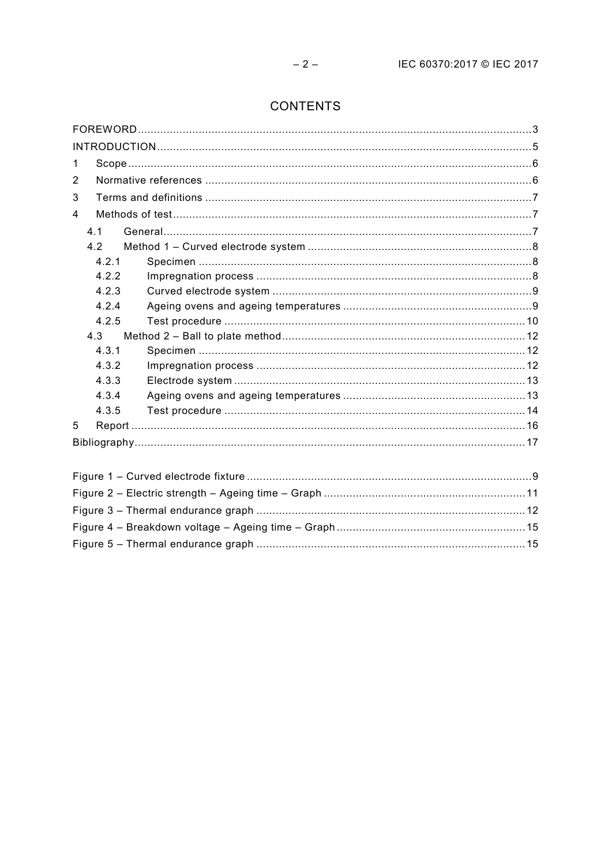# **CONTENTS**

| $\mathbf 1$ |  |  |  |
|-------------|--|--|--|
| 2           |  |  |  |
| 3           |  |  |  |
| 4           |  |  |  |
| 4.1         |  |  |  |
| 4.2         |  |  |  |
| 4.2.1       |  |  |  |
| 4.2.2       |  |  |  |
| 4.2.3       |  |  |  |
| 4.2.4       |  |  |  |
| 4.2.5       |  |  |  |
| 4.3         |  |  |  |
| 4.3.1       |  |  |  |
| 4.3.2       |  |  |  |
| 4.3.3       |  |  |  |
| 4.3.4       |  |  |  |
| 4.3.5       |  |  |  |
| 5           |  |  |  |
|             |  |  |  |
|             |  |  |  |
|             |  |  |  |
|             |  |  |  |
|             |  |  |  |
|             |  |  |  |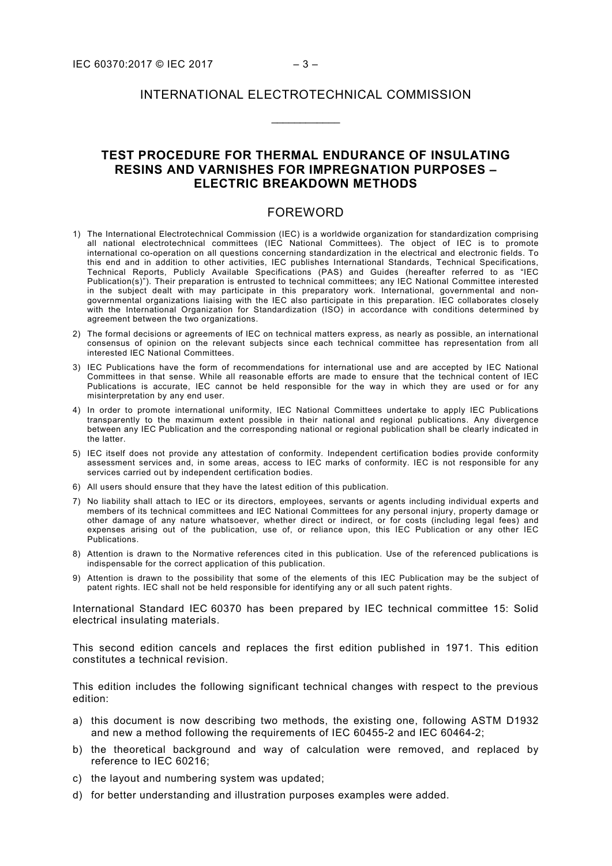#### INTERNATIONAL ELECTROTECHNICAL COMMISSION

\_\_\_\_\_\_\_\_\_\_\_\_

# **TEST PROCEDURE FOR THERMAL ENDURANCE OF INSULATING RESINS AND VARNISHES FOR IMPREGNATION PURPOSES – ELECTRIC BREAKDOWN METHODS**

#### FOREWORD

- <span id="page-2-0"></span>1) The International Electrotechnical Commission (IEC) is a worldwide organization for standardization comprising all national electrotechnical committees (IEC National Committees). The object of IEC is to promote international co-operation on all questions concerning standardization in the electrical and electronic fields. To this end and in addition to other activities, IEC publishes International Standards, Technical Specifications, Technical Reports, Publicly Available Specifications (PAS) and Guides (hereafter referred to as "IEC Publication(s)"). Their preparation is entrusted to technical committees; any IEC National Committee interested in the subject dealt with may participate in this preparatory work. International, governmental and nongovernmental organizations liaising with the IEC also participate in this preparation. IEC collaborates closely with the International Organization for Standardization (ISO) in accordance with conditions determined by agreement between the two organizations.
- 2) The formal decisions or agreements of IEC on technical matters express, as nearly as possible, an international consensus of opinion on the relevant subjects since each technical committee has representation from all interested IEC National Committees.
- 3) IEC Publications have the form of recommendations for international use and are accepted by IEC National Committees in that sense. While all reasonable efforts are made to ensure that the technical content of IEC Publications is accurate, IEC cannot be held responsible for the way in which they are used or for any misinterpretation by any end user.
- 4) In order to promote international uniformity, IEC National Committees undertake to apply IEC Publications transparently to the maximum extent possible in their national and regional publications. Any divergence between any IEC Publication and the corresponding national or regional publication shall be clearly indicated in the latter.
- 5) IEC itself does not provide any attestation of conformity. Independent certification bodies provide conformity assessment services and, in some areas, access to IEC marks of conformity. IEC is not responsible for any services carried out by independent certification bodies.
- 6) All users should ensure that they have the latest edition of this publication.
- 7) No liability shall attach to IEC or its directors, employees, servants or agents including individual experts and members of its technical committees and IEC National Committees for any personal injury, property damage or other damage of any nature whatsoever, whether direct or indirect, or for costs (including legal fees) and expenses arising out of the publication, use of, or reliance upon, this IEC Publication or any other IEC Publications.
- 8) Attention is drawn to the Normative references cited in this publication. Use of the referenced publications is indispensable for the correct application of this publication.
- 9) Attention is drawn to the possibility that some of the elements of this IEC Publication may be the subject of patent rights. IEC shall not be held responsible for identifying any or all such patent rights.

International Standard IEC 60370 has been prepared by IEC technical committee 15: Solid electrical insulating materials.

This second edition cancels and replaces the first edition published in 1971. This edition constitutes a technical revision.

This edition includes the following significant technical changes with respect to the previous edition:

- a) this document is now describing two methods, the existing one, following ASTM D1932 and new a method following the requirements of IEC 60455-2 and IEC 60464-2;
- b) the theoretical background and way of calculation were removed, and replaced by reference to IEC 60216;
- c) the layout and numbering system was updated;
- d) for better understanding and illustration purposes examples were added.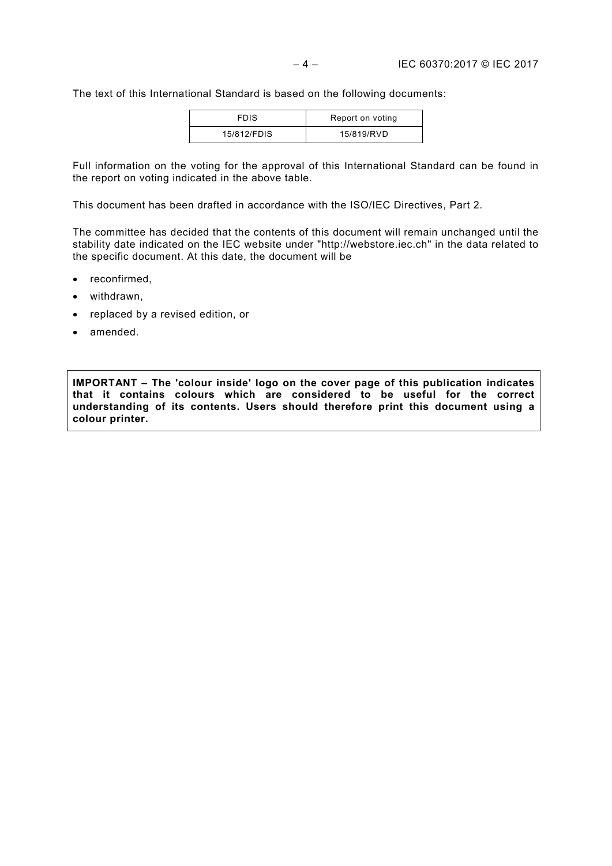The text of this International Standard is based on the following documents:

| <b>FDIS</b> | Report on voting |
|-------------|------------------|
| 15/812/FDIS | 15/819/RVD       |

Full information on the voting for the approval of this International Standard can be found in the report on voting indicated in the above table.

This document has been drafted in accordance with the ISO/IEC Directives, Part 2.

The committee has decided that the contents of this document will remain unchanged until the stability date indicated on the IEC website under ["http://webstore.iec.ch"](http://webstore.iec.ch/) in the data related to the specific document. At this date, the document will be

- reconfirmed,
- withdrawn,
- replaced by a revised edition, or
- amended.

**IMPORTANT – The 'colour inside' logo on the cover page of this publication indicates that it contains colours which are considered to be useful for the correct understanding of its contents. Users should therefore print this document using a colour printer.**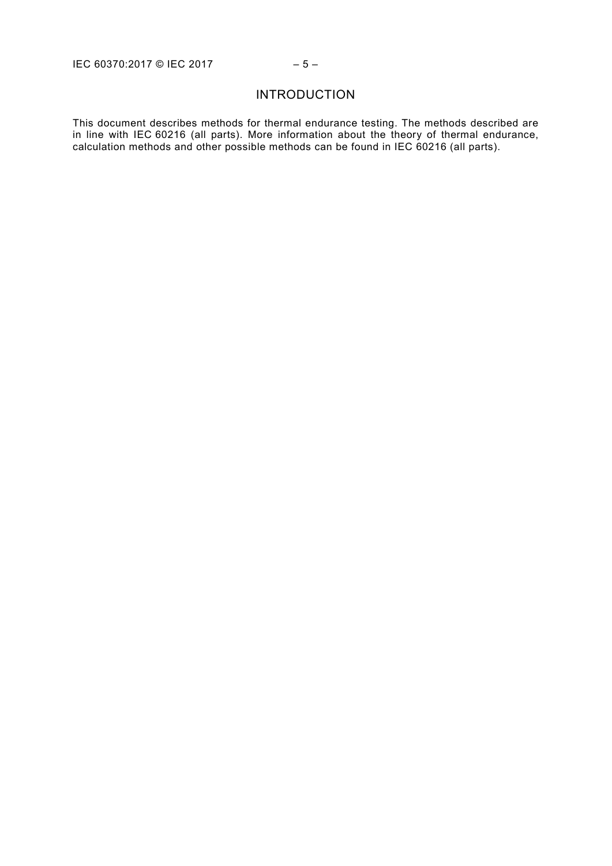### INTRODUCTION

<span id="page-4-0"></span>This document describes methods for thermal endurance testing. The methods described are in line with IEC 60216 (all parts). More information about the theory of thermal endurance, calculation methods and other possible methods can be found in IEC 60216 (all parts).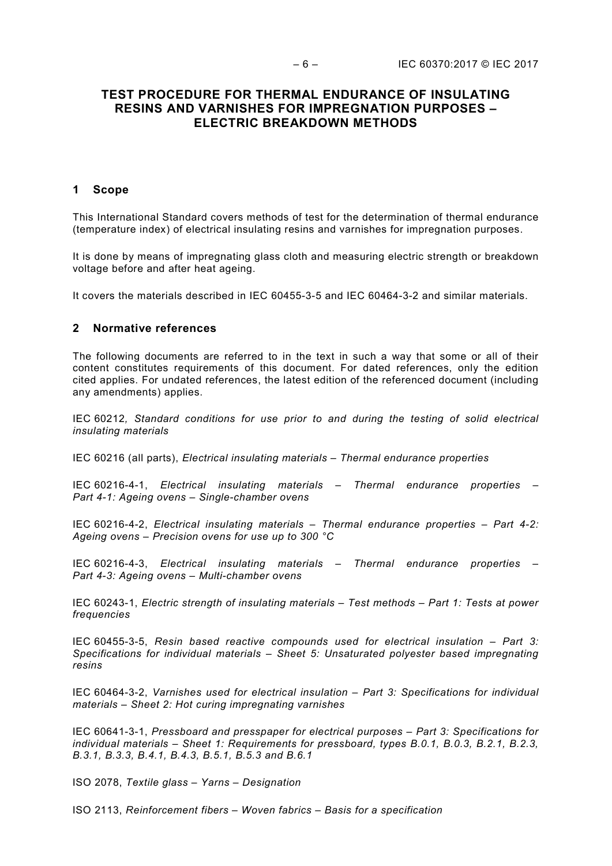# **TEST PROCEDURE FOR THERMAL ENDURANCE OF INSULATING RESINS AND VARNISHES FOR IMPREGNATION PURPOSES – ELECTRIC BREAKDOWN METHODS**

#### <span id="page-5-0"></span>**1 Scope**

This International Standard covers methods of test for the determination of thermal endurance (temperature index) of electrical insulating resins and varnishes for impregnation purposes.

It is done by means of impregnating glass cloth and measuring electric strength or breakdown voltage before and after heat ageing.

It covers the materials described in IEC 60455-3-5 and IEC 60464-3-2 and similar materials.

#### <span id="page-5-1"></span>**2 Normative references**

The following documents are referred to in the text in such a way that some or all of their content constitutes requirements of this document. For dated references, only the edition cited applies. For undated references, the latest edition of the referenced document (including any amendments) applies.

IEC 60212*, Standard conditions for use prior to and during the testing of solid electrical insulating materials*

IEC 60216 (all parts), *Electrical insulating materials – Thermal endurance properties*

IEC 60216-4-1, *Electrical insulating materials – Thermal endurance properties – Part 4-1: Ageing ovens – Single-chamber ovens*

IEC 60216-4-2, *Electrical insulating materials – Thermal endurance properties – Part 4-2: Ageing ovens – Precision ovens for use up to 300 °C*

IEC 60216-4-3, *Electrical insulating materials – Thermal endurance properties – Part 4-3: Ageing ovens – Multi-chamber ovens*

IEC 60243-1, *Electric strength of insulating materials – Test methods – Part 1: Tests at power frequencies*

IEC 60455-3-5, *Resin based reactive compounds used for electrical insulation – Part 3: Specifications for individual materials – Sheet 5: Unsaturated polyester based impregnating resins*

IEC 60464-3-2, *Varnishes used for electrical insulation – Part 3: Specifications for individual materials – Sheet 2: Hot curing impregnating varnishes*

IEC 60641-3-1, *Pressboard and presspaper for electrical purposes – Part 3: Specifications for individual materials – Sheet 1: Requirements for pressboard, types B.0.1, B.0.3, B.2.1, B.2.3, B.3.1, B.3.3, B.4.1, B.4.3, B.5.1, B.5.3 and B.6.1*

ISO 2078, *Textile glass – Yarns – Designation*

ISO 2113, *Reinforcement fibers – Woven fabrics – Basis for a specification*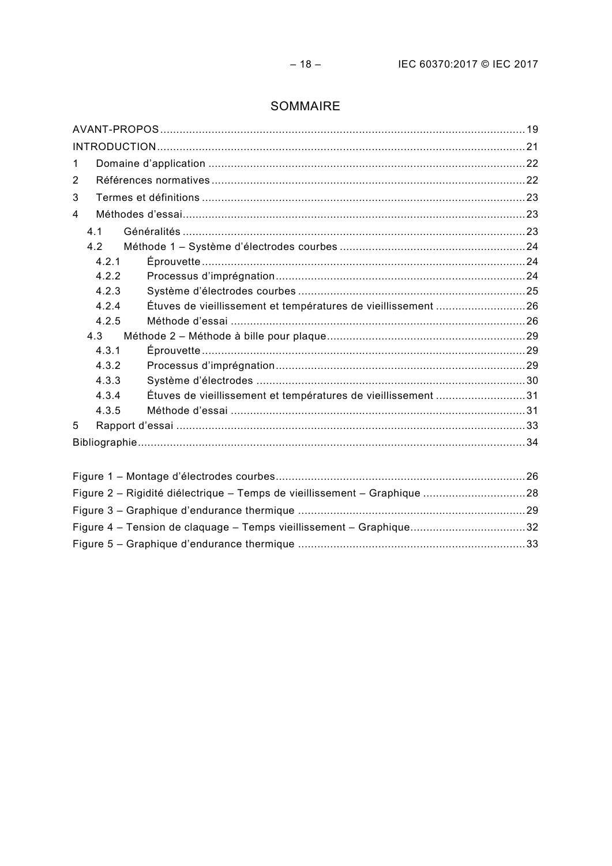# SOMMAIRE

| 1                                                                         |  |  |
|---------------------------------------------------------------------------|--|--|
| $\overline{2}$                                                            |  |  |
| 3                                                                         |  |  |
| 4                                                                         |  |  |
| 4.1                                                                       |  |  |
| 4.2                                                                       |  |  |
| 4.2.1                                                                     |  |  |
| 4.2.2                                                                     |  |  |
| 4.2.3                                                                     |  |  |
| Étuves de vieillissement et températures de vieillissement 26<br>4.2.4    |  |  |
| 4.2.5                                                                     |  |  |
| 4.3                                                                       |  |  |
| 4.3.1                                                                     |  |  |
| 4.3.2                                                                     |  |  |
| 4.3.3                                                                     |  |  |
| Étuves de vieillissement et températures de vieillissement 31<br>4.3.4    |  |  |
| 4.3.5                                                                     |  |  |
| 5                                                                         |  |  |
|                                                                           |  |  |
|                                                                           |  |  |
|                                                                           |  |  |
| Figure 2 - Rigidité diélectrique - Temps de vieillissement - Graphique 28 |  |  |
|                                                                           |  |  |
| Figure 4 - Tension de claquage - Temps vieillissement - Graphique32       |  |  |
|                                                                           |  |  |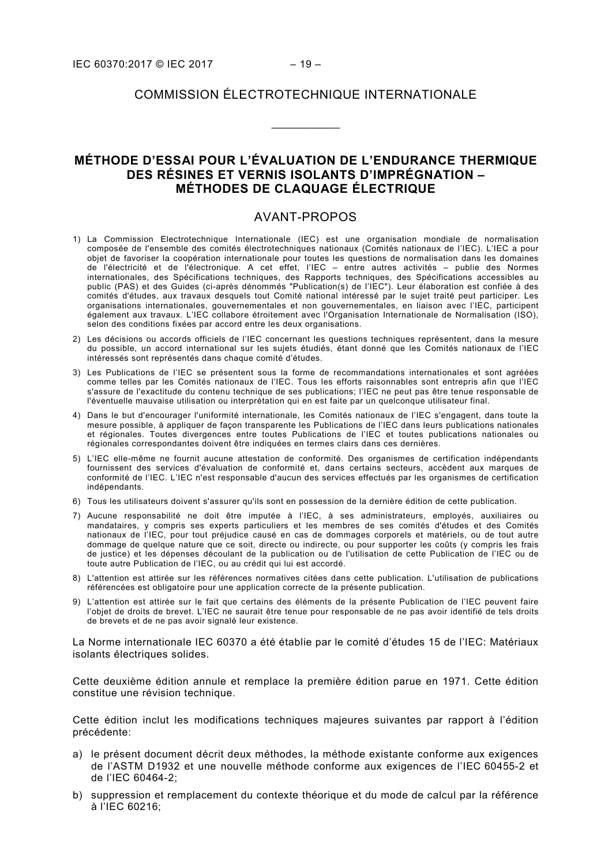# COMMISSION ÉLECTROTECHNIQUE INTERNATIONALE

\_\_\_\_\_\_\_\_\_\_\_\_

# **MÉTHODE D'ESSAI POUR L'ÉVALUATION DE L'ENDURANCE THERMIQUE DES RÉSINES ET VERNIS ISOLANTS D'IMPRÉGNATION – MÉTHODES DE CLAQUAGE ÉLECTRIQUE**

#### AVANT-PROPOS

- <span id="page-7-0"></span>1) La Commission Electrotechnique Internationale (IEC) est une organisation mondiale de normalisation composée de l'ensemble des comités électrotechniques nationaux (Comités nationaux de l'IEC). L'IEC a pour objet de favoriser la coopération internationale pour toutes les questions de normalisation dans les domaines de l'électricité et de l'électronique. A cet effet, l'IEC – entre autres activités – publie des Normes internationales, des Spécifications techniques, des Rapports techniques, des Spécifications accessibles au public (PAS) et des Guides (ci-après dénommés "Publication(s) de l'IEC"). Leur élaboration est confiée à des comités d'études, aux travaux desquels tout Comité national intéressé par le sujet traité peut participer. Les organisations internationales, gouvernementales et non gouvernementales, en liaison avec l'IEC, participent également aux travaux. L'IEC collabore étroitement avec l'Organisation Internationale de Normalisation (ISO), selon des conditions fixées par accord entre les deux organisations.
- 2) Les décisions ou accords officiels de l'IEC concernant les questions techniques représentent, dans la mesure du possible, un accord international sur les sujets étudiés, étant donné que les Comités nationaux de l'IEC intéressés sont représentés dans chaque comité d'études.
- 3) Les Publications de l'IEC se présentent sous la forme de recommandations internationales et sont agréées comme telles par les Comités nationaux de l'IEC. Tous les efforts raisonnables sont entrepris afin que l'IEC s'assure de l'exactitude du contenu technique de ses publications; l'IEC ne peut pas être tenue responsable de l'éventuelle mauvaise utilisation ou interprétation qui en est faite par un quelconque utilisateur final.
- 4) Dans le but d'encourager l'uniformité internationale, les Comités nationaux de l'IEC s'engagent, dans toute la mesure possible, à appliquer de façon transparente les Publications de l'IEC dans leurs publications nationales et régionales. Toutes divergences entre toutes Publications de l'IEC et toutes publications nationales ou régionales correspondantes doivent être indiquées en termes clairs dans ces dernières.
- 5) L'IEC elle-même ne fournit aucune attestation de conformité. Des organismes de certification indépendants fournissent des services d'évaluation de conformité et, dans certains secteurs, accèdent aux marques de conformité de l'IEC. L'IEC n'est responsable d'aucun des services effectués par les organismes de certification indépendants.
- 6) Tous les utilisateurs doivent s'assurer qu'ils sont en possession de la dernière édition de cette publication.
- 7) Aucune responsabilité ne doit être imputée à l'IEC, à ses administrateurs, employés, auxiliaires ou mandataires, y compris ses experts particuliers et les membres de ses comités d'études et des Comités nationaux de l'IEC, pour tout préjudice causé en cas de dommages corporels et matériels, ou de tout autre dommage de quelque nature que ce soit, directe ou indirecte, ou pour supporter les coûts (y compris les frais de justice) et les dépenses découlant de la publication ou de l'utilisation de cette Publication de l'IEC ou de toute autre Publication de l'IEC, ou au crédit qui lui est accordé.
- 8) L'attention est attirée sur les références normatives citées dans cette publication. L'utilisation de publications référencées est obligatoire pour une application correcte de la présente publication.
- 9) L'attention est attirée sur le fait que certains des éléments de la présente Publication de l'IEC peuvent faire l'objet de droits de brevet. L'IEC ne saurait être tenue pour responsable de ne pas avoir identifié de tels droits de brevets et de ne pas avoir signalé leur existence.

La Norme internationale IEC 60370 a été établie par le comité d'études 15 de l'IEC: Matériaux isolants électriques solides.

Cette deuxième édition annule et remplace la première édition parue en 1971. Cette édition constitue une révision technique.

Cette édition inclut les modifications techniques majeures suivantes par rapport à l'édition précédente:

- a) le présent document décrit deux méthodes, la méthode existante conforme aux exigences de l'ASTM D1932 et une nouvelle méthode conforme aux exigences de l'IEC 60455-2 et de l'IEC 60464-2;
- b) suppression et remplacement du contexte théorique et du mode de calcul par la référence à l'IEC 60216;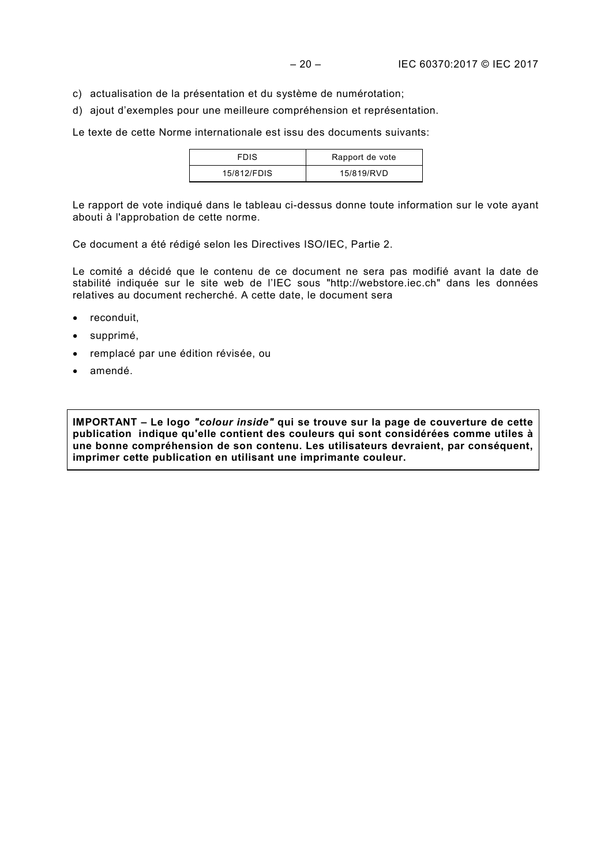- c) actualisation de la présentation et du système de numérotation;
- d) ajout d'exemples pour une meilleure compréhension et représentation.

Le texte de cette Norme internationale est issu des documents suivants:

| <b>FDIS</b> | Rapport de vote |
|-------------|-----------------|
| 15/812/FDIS | 15/819/RVD      |

Le rapport de vote indiqué dans le tableau ci-dessus donne toute information sur le vote ayant abouti à l'approbation de cette norme.

Ce document a été rédigé selon les Directives ISO/IEC, Partie 2.

Le comité a décidé que le contenu de ce document ne sera pas modifié avant la date de stabilité indiquée sur le site web de l'IEC sous "http://webstore.iec.ch" dans les données relatives au document recherché. A cette date, le document sera

- reconduit,
- supprimé,
- remplacé par une édition révisée, ou
- amendé.

**IMPORTANT – Le logo** *"colour inside"* **qui se trouve sur la page de couverture de cette publication indique qu'elle contient des couleurs qui sont considérées comme utiles à une bonne compréhension de son contenu. Les utilisateurs devraient, par conséquent, imprimer cette publication en utilisant une imprimante couleur.**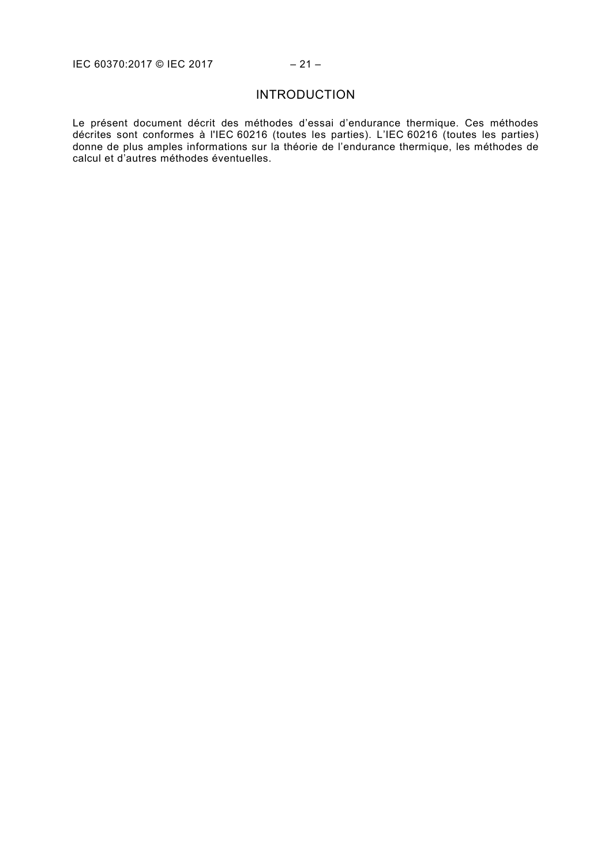### INTRODUCTION

<span id="page-9-0"></span>Le présent document décrit des méthodes d'essai d'endurance thermique. Ces méthodes décrites sont conformes à l'IEC 60216 (toutes les parties). L'IEC 60216 (toutes les parties) donne de plus amples informations sur la théorie de l'endurance thermique, les méthodes de calcul et d'autres méthodes éventuelles.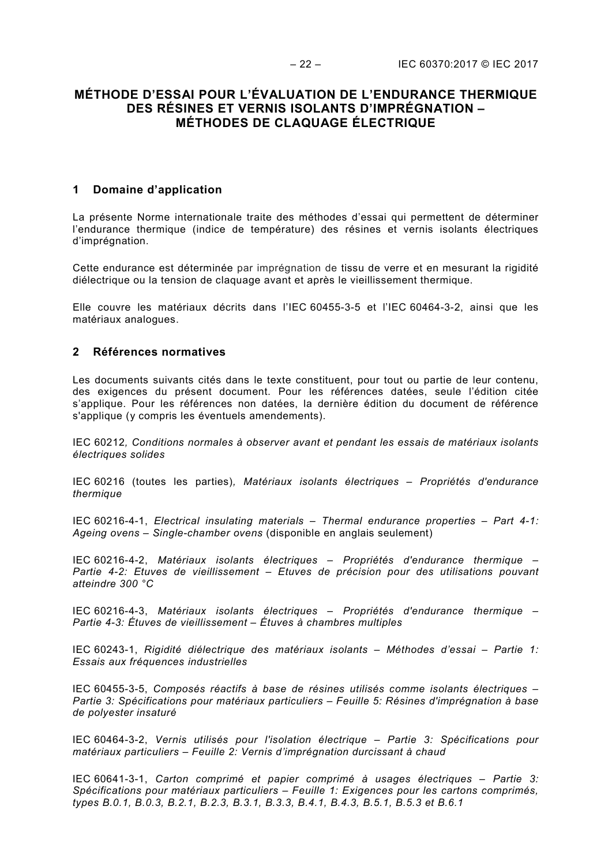## **MÉTHODE D'ESSAI POUR L'ÉVALUATION DE L'ENDURANCE THERMIQUE DES RÉSINES ET VERNIS ISOLANTS D'IMPRÉGNATION – MÉTHODES DE CLAQUAGE ÉLECTRIQUE**

#### <span id="page-10-0"></span>**1 Domaine d'application**

La présente Norme internationale traite des méthodes d'essai qui permettent de déterminer l'endurance thermique (indice de température) des résines et vernis isolants électriques d'imprégnation.

Cette endurance est déterminée par imprégnation de tissu de verre et en mesurant la rigidité diélectrique ou la tension de claquage avant et après le vieillissement thermique.

Elle couvre les matériaux décrits dans l'IEC 60455-3-5 et l'IEC 60464-3-2, ainsi que les matériaux analogues.

#### <span id="page-10-1"></span>**2 Références normatives**

Les documents suivants cités dans le texte constituent, pour tout ou partie de leur contenu, des exigences du présent document. Pour les références datées, seule l'édition citée s'applique. Pour les références non datées, la dernière édition du document de référence s'applique (y compris les éventuels amendements).

IEC 60212*, Conditions normales à observer avant et pendant les essais de matériaux isolants électriques solides*

IEC 60216 (toutes les parties)*, Matériaux isolants électriques – Propriétés d'endurance thermique*

IEC 60216-4-1, *Electrical insulating materials – Thermal endurance properties – Part 4-1: Ageing ovens – Single-chamber ovens* (disponible en anglais seulement)

IEC 60216-4-2, *Matériaux isolants électriques – Propriétés d'endurance thermique – Partie 4-2: Etuves de vieillissement – Etuves de précision pour des utilisations pouvant atteindre 300 °C*

IEC 60216-4-3, *Matériaux isolants électriques – Propriétés d'endurance thermique – Partie 4-3: Étuves de vieillissement – Étuves à chambres multiples*

IEC 60243-1, *Rigidité diélectrique des matériaux isolants – Méthodes d'essai – Partie 1: Essais aux fréquences industrielles*

IEC 60455-3-5, *Composés réactifs à base de résines utilisés comme isolants électriques – Partie 3: Spécifications pour matériaux particuliers – Feuille 5: Résines d'imprégnation à base de polyester insaturé*

IEC 60464-3-2, *Vernis utilisés pour l'isolation électrique – Partie 3: Spécifications pour matériaux particuliers – Feuille 2: Vernis d'imprégnation durcissant à chaud*

IEC 60641-3-1, *Carton comprimé et papier comprimé à usages électriques – Partie 3: Spécifications pour matériaux particuliers – Feuille 1: Exigences pour les cartons comprimés, types B.0.1, B.0.3, B.2.1, B.2.3, B.3.1, B.3.3, B.4.1, B.4.3, B.5.1, B.5.3 et B.6.1*